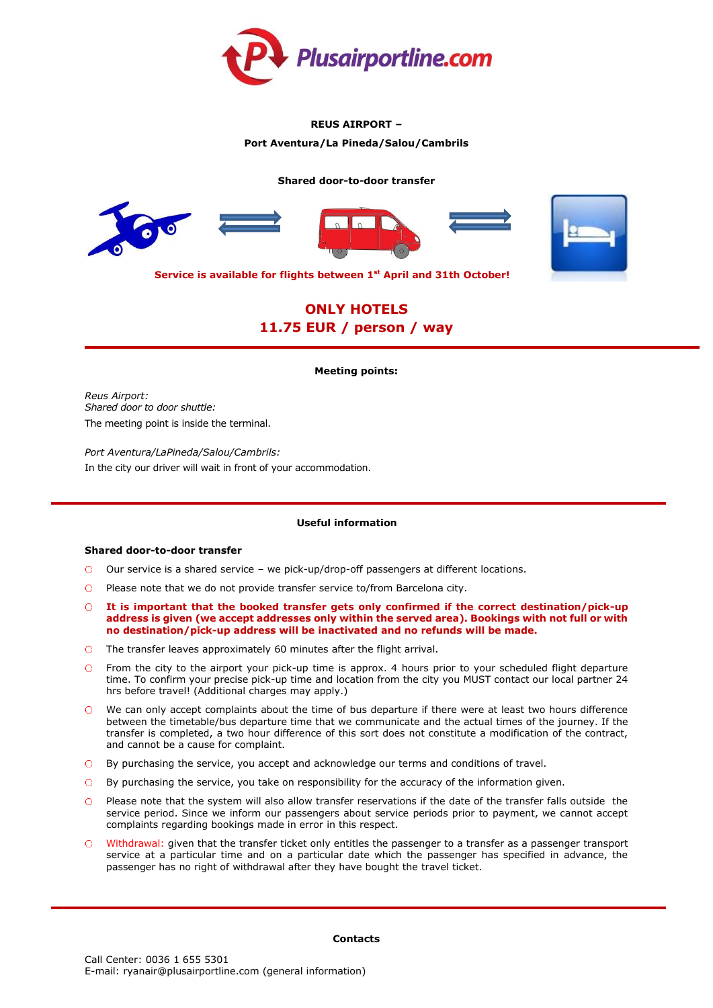

# **REUS AIRPORT –**

# **Port Aventura/La Pineda/Salou/Cambrils**

### **Shared door-to-door transfer**



**Service is available for flights between 1st April and 31th October!**

# **ONLY HOTELS 11.75 EUR / person / way**

### **Meeting points:**

*Reus Airport: Shared door to door shuttle:* The meeting point is inside the terminal.

*Port Aventura/LaPineda/Salou/Cambrils:* In the city our driver will wait in front of your accommodation.

# **Useful information**

### **Shared door-to-door transfer**

- Our service is a shared service we pick-up/drop-off passengers at different locations.
- $\bigcirc$  Please note that we do not provide transfer service to/from Barcelona city.
- **It is important that the booked transfer gets only confirmed if the correct destination/pick-up address is given (we accept addresses only within the served area). Bookings with not full or with no destination/pick-up address will be inactivated and no refunds will be made.**
- The transfer leaves approximately 60 minutes after the flight arrival.
- $\cap$ From the city to the airport your pick-up time is approx. 4 hours prior to your scheduled flight departure time. To confirm your precise pick-up time and location from the city you MUST contact our local partner 24 hrs before travel! (Additional charges may apply.)
- We can only accept complaints about the time of bus departure if there were at least two hours difference  $\cap$ between the timetable/bus departure time that we communicate and the actual times of the journey. If the transfer is completed, a two hour difference of this sort does not constitute a modification of the contract, and cannot be a cause for complaint.
- By purchasing the service, you accept and acknowledge our terms and conditions of travel.
- By purchasing the service, you take on responsibility for the accuracy of the information given.
- Please note that the system will also allow transfer reservations if the date of the transfer falls outside the  $\cap$ service period. Since we inform our passengers about service periods prior to payment, we cannot accept complaints regarding bookings made in error in this respect.
- Withdrawal: given that the transfer ticket only entitles the passenger to a transfer as a passenger transport service at a particular time and on a particular date which the passenger has specified in advance, the passenger has no right of withdrawal after they have bought the travel ticket.

### **Contacts**